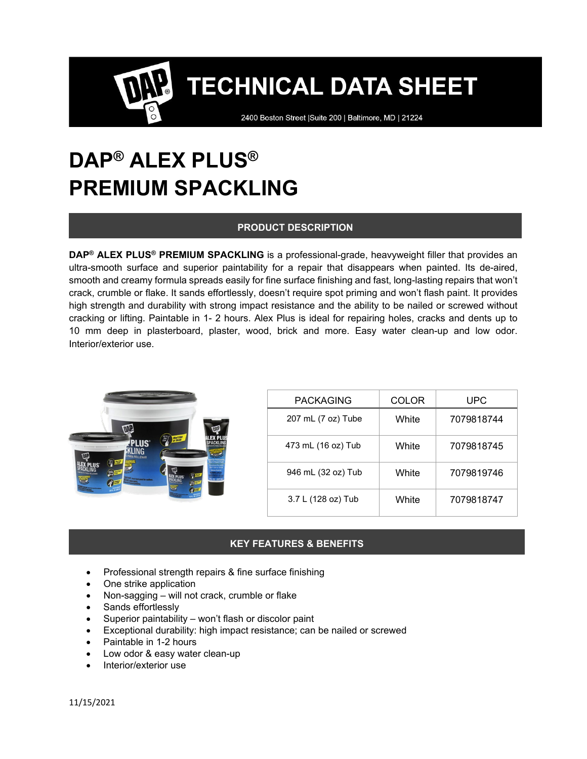2400 Boston Street | Suite 200 | Baltimore, MD | 21224

# **DAP® ALEX PLUS® PREMIUM SPACKLING**

### **PRODUCT DESCRIPTION**

**DAP® ALEX PLUS® PREMIUM SPACKLING** is a professional-grade, heavyweight filler that provides an ultra-smooth surface and superior paintability for a repair that disappears when painted. Its de-aired, smooth and creamy formula spreads easily for fine surface finishing and fast, long-lasting repairs that won't crack, crumble or flake. It sands effortlessly, doesn't require spot priming and won't flash paint. It provides high strength and durability with strong impact resistance and the ability to be nailed or screwed without cracking or lifting. Paintable in 1- 2 hours. Alex Plus is ideal for repairing holes, cracks and dents up to 10 mm deep in plasterboard, plaster, wood, brick and more. Easy water clean-up and low odor. Interior/exterior use.

| DAP<br><b>ONP.</b><br>$\mathbb{Z}$<br><b>PLUS</b><br>KLING<br><b>DAP</b><br>and last panel by conferent | <b>PACKAGING</b>   | <b>COLOR</b> | UPC        |
|---------------------------------------------------------------------------------------------------------|--------------------|--------------|------------|
|                                                                                                         | 207 mL (7 oz) Tube | White        | 7079818744 |
|                                                                                                         | 473 mL (16 oz) Tub | White        | 7079818745 |
|                                                                                                         | 946 mL (32 oz) Tub | White        | 7079819746 |
|                                                                                                         | 3.7 L (128 oz) Tub | White        | 7079818747 |

## **KEY FEATURES & BENEFITS**

- Professional strength repairs & fine surface finishing
- One strike application
- Non-sagging will not crack, crumble or flake
- Sands effortlessly
- Superior paintability won't flash or discolor paint
- Exceptional durability: high impact resistance; can be nailed or screwed
- Paintable in 1-2 hours
- Low odor & easy water clean-up
- Interior/exterior use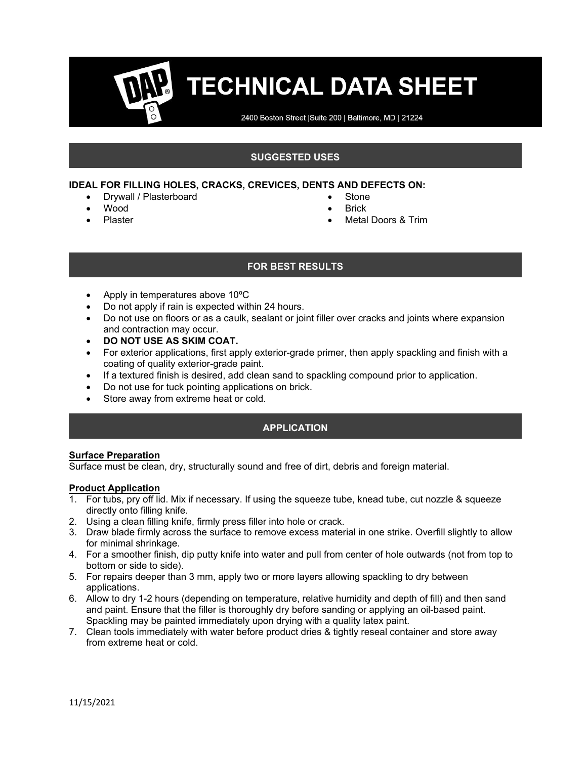2400 Boston Street | Suite 200 | Baltimore, MD | 21224

#### **SUGGESTED USES**

#### **IDEAL FOR FILLING HOLES, CRACKS, CREVICES, DENTS AND DEFECTS ON:**

- Drywall / Plasterboard
- Wood
- Plaster
- **Stone**
- **Brick**
- Metal Doors & Trim

### **FOR BEST RESULTS**

- Apply in temperatures above 10ºC
- Do not apply if rain is expected within 24 hours.
- Do not use on floors or as a caulk, sealant or joint filler over cracks and joints where expansion and contraction may occur.
- **DO NOT USE AS SKIM COAT.**
- For exterior applications, first apply exterior-grade primer, then apply spackling and finish with a coating of quality exterior-grade paint.
- If a textured finish is desired, add clean sand to spackling compound prior to application.
- Do not use for tuck pointing applications on brick.
- Store away from extreme heat or cold.

### **APPLICATION**

#### **Surface Preparation**

Surface must be clean, dry, structurally sound and free of dirt, debris and foreign material.

#### **Product Application**

- 1. For tubs, pry off lid. Mix if necessary. If using the squeeze tube, knead tube, cut nozzle & squeeze directly onto filling knife.
- 2. Using a clean filling knife, firmly press filler into hole or crack.
- 3. Draw blade firmly across the surface to remove excess material in one strike. Overfill slightly to allow for minimal shrinkage.
- 4. For a smoother finish, dip putty knife into water and pull from center of hole outwards (not from top to bottom or side to side).
- 5. For repairs deeper than 3 mm, apply two or more layers allowing spackling to dry between applications.
- 6. Allow to dry 1-2 hours (depending on temperature, relative humidity and depth of fill) and then sand and paint. Ensure that the filler is thoroughly dry before sanding or applying an oil-based paint. Spackling may be painted immediately upon drying with a quality latex paint.
- 7. Clean tools immediately with water before product dries & tightly reseal container and store away from extreme heat or cold.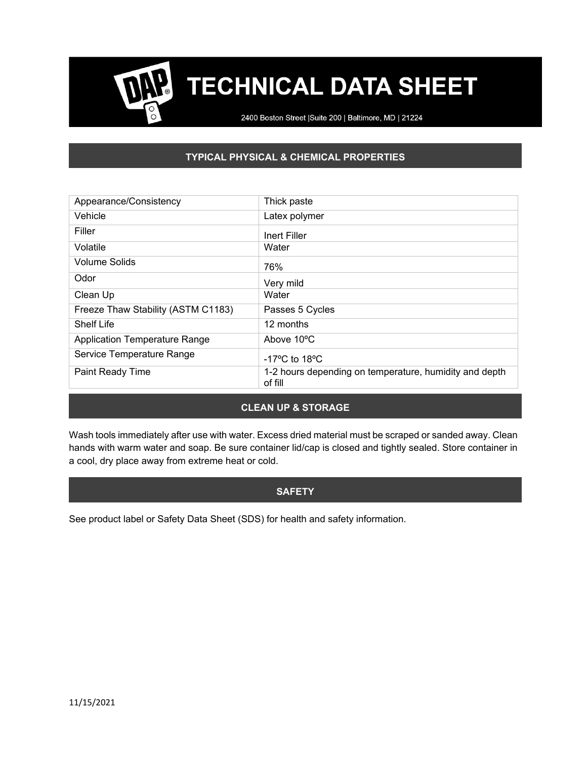2400 Boston Street | Suite 200 | Baltimore, MD | 21224

## **TYPICAL PHYSICAL & CHEMICAL PROPERTIES**

| Appearance/Consistency               | Thick paste                                                       |
|--------------------------------------|-------------------------------------------------------------------|
| Vehicle                              | Latex polymer                                                     |
| Filler                               | Inert Filler                                                      |
| Volatile                             | Water                                                             |
| <b>Volume Solids</b>                 | 76%                                                               |
| Odor                                 | Very mild                                                         |
| Clean Up                             | Water                                                             |
| Freeze Thaw Stability (ASTM C1183)   | Passes 5 Cycles                                                   |
| <b>Shelf Life</b>                    | 12 months                                                         |
| <b>Application Temperature Range</b> | Above 10°C                                                        |
| Service Temperature Range            | $-17^{\circ}$ C to 18 $^{\circ}$ C                                |
| Paint Ready Time                     | 1-2 hours depending on temperature, humidity and depth<br>of fill |
|                                      |                                                                   |

### **CLEAN UP & STORAGE**

Wash tools immediately after use with water. Excess dried material must be scraped or sanded away. Clean hands with warm water and soap. Be sure container lid/cap is closed and tightly sealed. Store container in a cool, dry place away from extreme heat or cold.

#### **SAFETY**

See product label or Safety Data Sheet (SDS) for health and safety information.